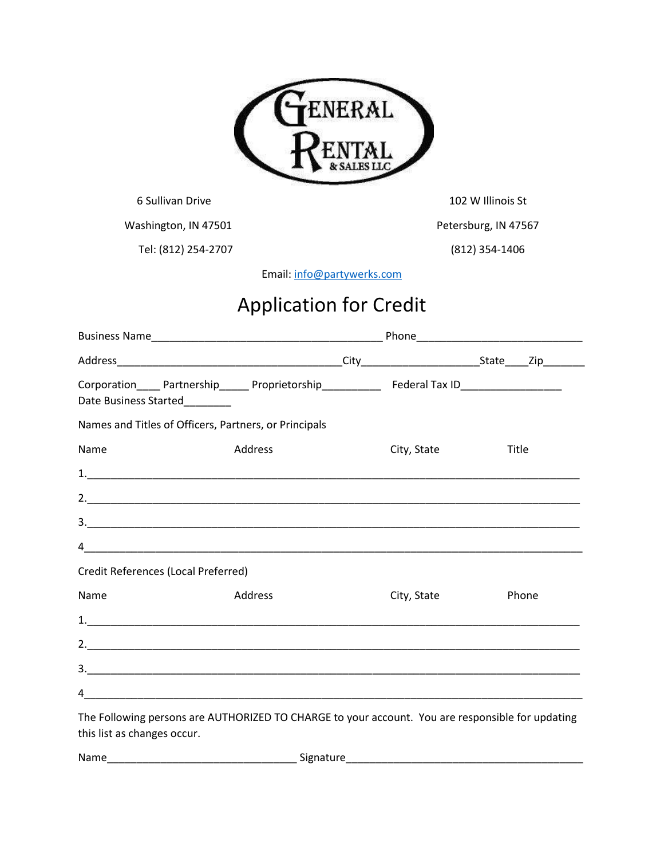

6 Sullivan Drive 102 W Illinois St

Washington, IN 47501 **Petersburg**, IN 47567

Tel: (812) 254-2707 (812) 354-1406

Email: [info@partywerks.com](mailto:info@partywerks.com)

## Application for Credit

| Corporation_____ Partnership_______ Proprietorship______________ Federal Tax ID____________________<br>Date Business Started________ |         |             |       |
|--------------------------------------------------------------------------------------------------------------------------------------|---------|-------------|-------|
| Names and Titles of Officers, Partners, or Principals                                                                                |         |             |       |
| Name                                                                                                                                 | Address | City, State | Title |
|                                                                                                                                      |         |             |       |
|                                                                                                                                      |         |             |       |
|                                                                                                                                      |         |             |       |
|                                                                                                                                      |         |             |       |
| <b>Credit References (Local Preferred)</b>                                                                                           |         |             |       |
| Name                                                                                                                                 | Address | City, State | Phone |
|                                                                                                                                      |         |             |       |
|                                                                                                                                      |         |             |       |
|                                                                                                                                      |         |             |       |
| $\frac{4}{\sqrt{2}}$                                                                                                                 |         |             |       |
| The Following persons are AUTHORIZED TO CHARGE to your account. You are responsible for updating                                     |         |             |       |

this list as changes occur.

Name\_\_\_\_\_\_\_\_\_\_\_\_\_\_\_\_\_\_\_\_\_\_\_\_\_\_\_\_\_\_\_\_ Signature\_\_\_\_\_\_\_\_\_\_\_\_\_\_\_\_\_\_\_\_\_\_\_\_\_\_\_\_\_\_\_\_\_\_\_\_\_\_\_\_